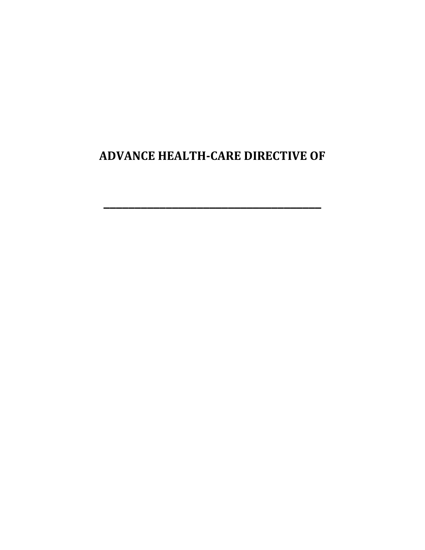**ADVANCE HEALTH-CARE DIRECTIVE OF**

**\_\_\_\_\_\_\_\_\_\_\_\_\_\_\_\_\_\_\_\_\_\_\_\_\_\_\_\_\_\_\_\_\_\_\_**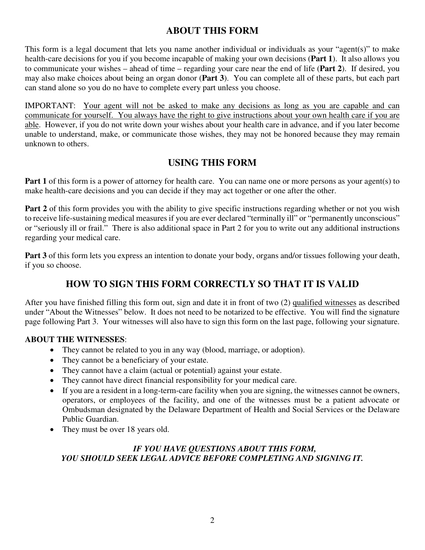## **ABOUT THIS FORM**

This form is a legal document that lets you name another individual or individuals as your "agent(s)" to make health-care decisions for you if you become incapable of making your own decisions (**Part 1**). It also allows you to communicate your wishes – ahead of time – regarding your care near the end of life (**Part 2**). If desired, you may also make choices about being an organ donor (**Part 3**). You can complete all of these parts, but each part can stand alone so you do no have to complete every part unless you choose.

IMPORTANT: Your agent will not be asked to make any decisions as long as you are capable and can communicate for yourself. You always have the right to give instructions about your own health care if you are able. However, if you do not write down your wishes about your health care in advance, and if you later become unable to understand, make, or communicate those wishes, they may not be honored because they may remain unknown to others.

## **USING THIS FORM**

**Part 1** of this form is a power of attorney for health care. You can name one or more persons as your agent(s) to make health-care decisions and you can decide if they may act together or one after the other.

**Part 2** of this form provides you with the ability to give specific instructions regarding whether or not you wish to receive life-sustaining medical measures if you are ever declared "terminally ill" or "permanently unconscious" or "seriously ill or frail." There is also additional space in Part 2 for you to write out any additional instructions regarding your medical care.

**Part 3** of this form lets you express an intention to donate your body, organs and/or tissues following your death, if you so choose.

# **HOW TO SIGN THIS FORM CORRECTLY SO THAT IT IS VALID**

After you have finished filling this form out, sign and date it in front of two (2) qualified witnesses as described under "About the Witnesses" below. It does not need to be notarized to be effective. You will find the signature page following Part 3. Your witnesses will also have to sign this form on the last page, following your signature.

### **ABOUT THE WITNESSES**:

- They cannot be related to you in any way (blood, marriage, or adoption).
- They cannot be a beneficiary of your estate.
- They cannot have a claim (actual or potential) against your estate.
- They cannot have direct financial responsibility for your medical care.
- If you are a resident in a long-term-care facility when you are signing, the witnesses cannot be owners, operators, or employees of the facility, and one of the witnesses must be a patient advocate or Ombudsman designated by the Delaware Department of Health and Social Services or the Delaware Public Guardian.
- They must be over 18 years old.

## *IF YOU HAVE QUESTIONS ABOUT THIS FORM, YOU SHOULD SEEK LEGAL ADVICE BEFORE COMPLETING AND SIGNING IT.*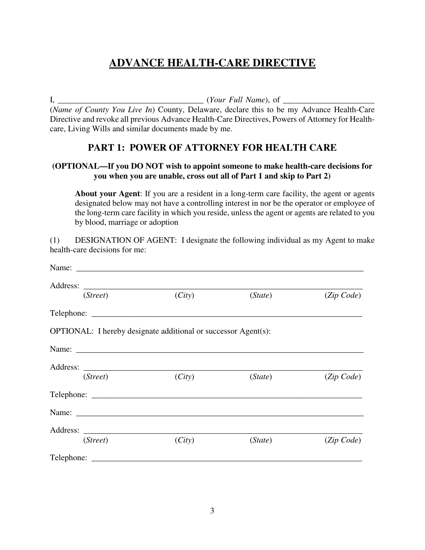# **ADVANCE HEALTH-CARE DIRECTIVE**

I, the extent of the extent of the extent of the extent of the extent of the extent of the extent of the extending of  $Y$ 

(*Name of County You Live In*) County, Delaware, declare this to be my Advance Health-Care Directive and revoke all previous Advance Health-Care Directives, Powers of Attorney for Healthcare, Living Wills and similar documents made by me.

## **PART 1: POWER OF ATTORNEY FOR HEALTH CARE**

### **(OPTIONAL—If you DO NOT wish to appoint someone to make health-care decisions for you when you are unable, cross out all of Part 1 and skip to Part 2)**

**About your Agent**: If you are a resident in a long-term care facility, the agent or agents designated below may not have a controlling interest in nor be the operator or employee of the long-term care facility in which you reside, unless the agent or agents are related to you by blood, marriage or adoption

(1) DESIGNATION OF AGENT: I designate the following individual as my Agent to make health-care decisions for me:

| (Street)                                                       | (City) | (State) | (Zip Code) |
|----------------------------------------------------------------|--------|---------|------------|
|                                                                |        |         |            |
| OPTIONAL: I hereby designate additional or successor Agent(s): |        |         |            |
|                                                                |        |         |            |
|                                                                |        |         |            |
| (Street)                                                       | (City) | (State) | (Zip Code) |
|                                                                |        |         |            |
|                                                                |        |         |            |
|                                                                |        |         |            |
| (Street)                                                       | (City) | (State) | (Zip Code) |
|                                                                |        |         |            |
|                                                                |        |         |            |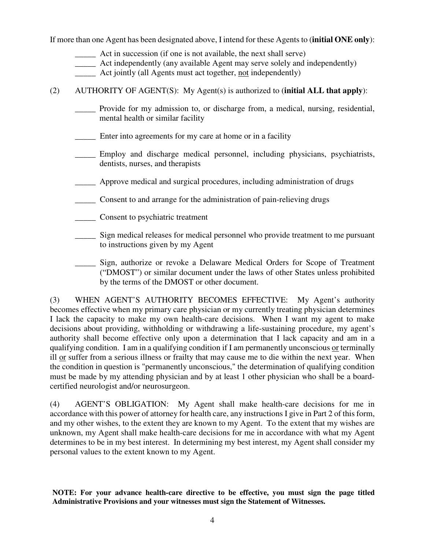If more than one Agent has been designated above, I intend for these Agents to (**initial ONE only**):

- \_\_\_\_\_ Act in succession (if one is not available, the next shall serve)
- \_\_\_\_\_ Act independently (any available Agent may serve solely and independently)
- Act jointly (all Agents must act together, not independently)

(2) AUTHORITY OF AGENT(S): My Agent(s) is authorized to (**initial ALL that apply**):

- \_\_\_\_\_ Provide for my admission to, or discharge from, a medical, nursing, residential, mental health or similar facility
- Enter into agreements for my care at home or in a facility
- \_\_\_\_\_ Employ and discharge medical personnel, including physicians, psychiatrists, dentists, nurses, and therapists
- \_\_\_\_\_ Approve medical and surgical procedures, including administration of drugs
- \_\_\_\_\_ Consent to and arrange for the administration of pain-relieving drugs
- \_\_\_\_\_ Consent to psychiatric treatment
- \_\_\_\_\_ Sign medical releases for medical personnel who provide treatment to me pursuant to instructions given by my Agent
- \_\_\_\_\_ Sign, authorize or revoke a Delaware Medical Orders for Scope of Treatment ("DMOST") or similar document under the laws of other States unless prohibited by the terms of the DMOST or other document.

(3) WHEN AGENT'S AUTHORITY BECOMES EFFECTIVE: My Agent's authority becomes effective when my primary care physician or my currently treating physician determines I lack the capacity to make my own health-care decisions. When I want my agent to make decisions about providing, withholding or withdrawing a life-sustaining procedure, my agent's authority shall become effective only upon a determination that I lack capacity and am in a qualifying condition. I am in a qualifying condition if I am permanently unconscious or terminally ill or suffer from a serious illness or frailty that may cause me to die within the next year. When the condition in question is "permanently unconscious," the determination of qualifying condition must be made by my attending physician and by at least 1 other physician who shall be a boardcertified neurologist and/or neurosurgeon.

(4) AGENT'S OBLIGATION: My Agent shall make health-care decisions for me in accordance with this power of attorney for health care, any instructions I give in Part 2 of this form, and my other wishes, to the extent they are known to my Agent. To the extent that my wishes are unknown, my Agent shall make health-care decisions for me in accordance with what my Agent determines to be in my best interest. In determining my best interest, my Agent shall consider my personal values to the extent known to my Agent.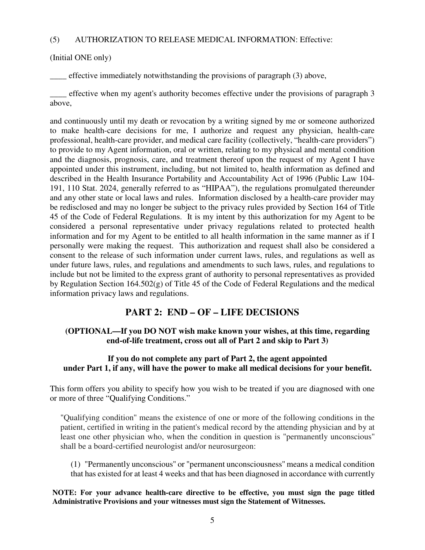#### (5) AUTHORIZATION TO RELEASE MEDICAL INFORMATION: Effective:

(Initial ONE only)

\_\_\_\_ effective immediately notwithstanding the provisions of paragraph (3) above,

\_\_\_\_ effective when my agent's authority becomes effective under the provisions of paragraph 3 above,

and continuously until my death or revocation by a writing signed by me or someone authorized to make health-care decisions for me, I authorize and request any physician, health-care professional, health-care provider, and medical care facility (collectively, "health-care providers") to provide to my Agent information, oral or written, relating to my physical and mental condition and the diagnosis, prognosis, care, and treatment thereof upon the request of my Agent I have appointed under this instrument, including, but not limited to, health information as defined and described in the Health Insurance Portability and Accountability Act of 1996 (Public Law 104- 191, 110 Stat. 2024, generally referred to as "HIPAA"), the regulations promulgated thereunder and any other state or local laws and rules. Information disclosed by a health-care provider may be redisclosed and may no longer be subject to the privacy rules provided by Section 164 of Title 45 of the Code of Federal Regulations. It is my intent by this authorization for my Agent to be considered a personal representative under privacy regulations related to protected health information and for my Agent to be entitled to all health information in the same manner as if I personally were making the request. This authorization and request shall also be considered a consent to the release of such information under current laws, rules, and regulations as well as under future laws, rules, and regulations and amendments to such laws, rules, and regulations to include but not be limited to the express grant of authority to personal representatives as provided by Regulation Section 164.502(g) of Title 45 of the Code of Federal Regulations and the medical information privacy laws and regulations.

## **PART 2: END – OF – LIFE DECISIONS**

### **(OPTIONAL—If you DO NOT wish make known your wishes, at this time, regarding end-of-life treatment, cross out all of Part 2 and skip to Part 3)**

### **If you do not complete any part of Part 2, the agent appointed under Part 1, if any, will have the power to make all medical decisions for your benefit.**

This form offers you ability to specify how you wish to be treated if you are diagnosed with one or more of three "Qualifying Conditions."

"Qualifying condition'' means the existence of one or more of the following conditions in the patient, certified in writing in the patient's medical record by the attending physician and by at least one other physician who, when the condition in question is "permanently unconscious'' shall be a board-certified neurologist and/or neurosurgeon:

(1) "Permanently unconscious'' or "permanent unconsciousness'' means a medical condition that has existed for at least 4 weeks and that has been diagnosed in accordance with currently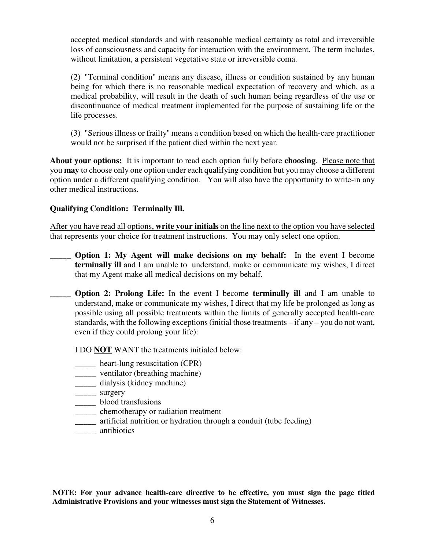accepted medical standards and with reasonable medical certainty as total and irreversible loss of consciousness and capacity for interaction with the environment. The term includes, without limitation, a persistent vegetative state or irreversible coma.

(2) "Terminal condition'' means any disease, illness or condition sustained by any human being for which there is no reasonable medical expectation of recovery and which, as a medical probability, will result in the death of such human being regardless of the use or discontinuance of medical treatment implemented for the purpose of sustaining life or the life processes.

(3) "Serious illness or frailty'' means a condition based on which the health-care practitioner would not be surprised if the patient died within the next year.

**About your options:** It is important to read each option fully before **choosing**. Please note that you **may** to choose only one option under each qualifying condition but you may choose a different option under a different qualifying condition. You will also have the opportunity to write-in any other medical instructions.

### **Qualifying Condition: Terminally Ill.**

After you have read all options, **write your initials** on the line next to the option you have selected that represents your choice for treatment instructions. You may only select one option.

- \_\_\_\_\_ **Option 1: My Agent will make decisions on my behalf:** In the event I become **terminally ill** and I am unable to understand, make or communicate my wishes, I direct that my Agent make all medical decisions on my behalf.
- **Option 2: Prolong Life:** In the event I become **terminally ill** and I am unable to understand, make or communicate my wishes, I direct that my life be prolonged as long as possible using all possible treatments within the limits of generally accepted health-care standards, with the following exceptions (initial those treatments – if any – you do not want, even if they could prolong your life):

I DO **NOT** WANT the treatments initialed below:

- \_\_\_\_\_ heart-lung resuscitation (CPR)
- \_\_\_\_\_ ventilator (breathing machine)
- \_\_\_\_\_ dialysis (kidney machine)
- \_\_\_\_\_ surgery
- \_\_\_\_\_ blood transfusions
- \_\_\_\_\_ chemotherapy or radiation treatment
- \_\_\_\_\_ artificial nutrition or hydration through a conduit (tube feeding)
- \_\_\_\_\_ antibiotics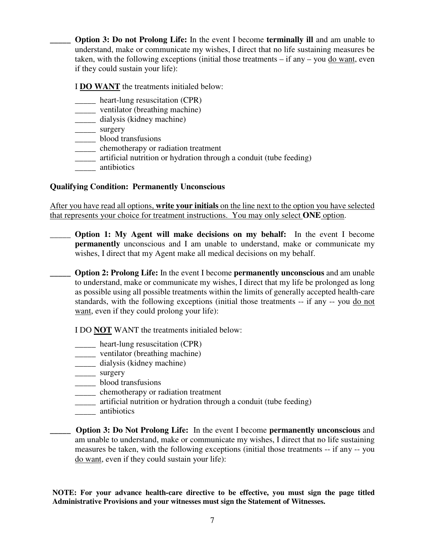**Option 3: Do not Prolong Life:** In the event I become **terminally ill** and am unable to understand, make or communicate my wishes, I direct that no life sustaining measures be taken, with the following exceptions (initial those treatments – if any – you do want, even if they could sustain your life):

I **DO WANT** the treatments initialed below:

- \_\_\_\_\_ heart-lung resuscitation (CPR)
- \_\_\_\_\_ ventilator (breathing machine)
- \_\_\_\_\_ dialysis (kidney machine)
- \_\_\_\_\_ surgery
- \_\_\_\_\_ blood transfusions
- \_\_\_\_\_ chemotherapy or radiation treatment
- \_\_\_\_\_ artificial nutrition or hydration through a conduit (tube feeding)
- \_\_\_\_\_ antibiotics

## **Qualifying Condition: Permanently Unconscious**

After you have read all options, **write your initials** on the line next to the option you have selected that represents your choice for treatment instructions. You may only select **ONE** option.

\_\_\_\_\_ **Option 1: My Agent will make decisions on my behalf:** In the event I become **permanently** unconscious and I am unable to understand, make or communicate my wishes, I direct that my Agent make all medical decisions on my behalf.

**Option 2: Prolong Life:** In the event I become **permanently unconscious** and am unable to understand, make or communicate my wishes, I direct that my life be prolonged as long as possible using all possible treatments within the limits of generally accepted health-care standards, with the following exceptions (initial those treatments -- if any -- you do not want, even if they could prolong your life):

I DO **NOT** WANT the treatments initialed below:

- \_\_\_\_\_ heart-lung resuscitation (CPR)
- \_\_\_\_\_ ventilator (breathing machine)
- \_\_\_\_\_ dialysis (kidney machine)
- \_\_\_\_\_\_ surgery
- \_\_\_\_\_ blood transfusions
- \_\_\_\_\_ chemotherapy or radiation treatment
- \_\_\_\_\_ artificial nutrition or hydration through a conduit (tube feeding)
- \_\_\_\_\_ antibiotics
- **Option 3: Do Not Prolong Life:** In the event I become **permanently unconscious** and am unable to understand, make or communicate my wishes, I direct that no life sustaining measures be taken, with the following exceptions (initial those treatments -- if any -- you do want, even if they could sustain your life):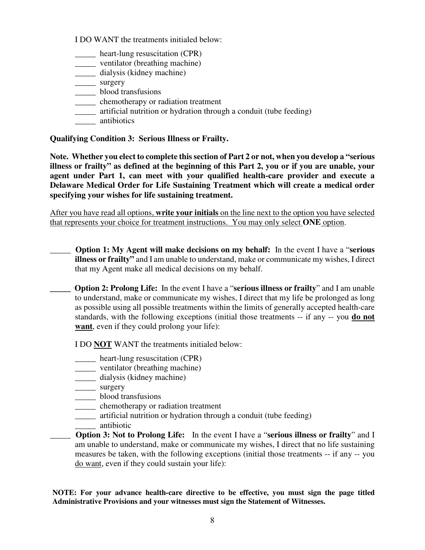I DO WANT the treatments initialed below:

- \_\_\_\_\_ heart-lung resuscitation (CPR)
- \_\_\_\_\_ ventilator (breathing machine)
- \_\_\_\_\_ dialysis (kidney machine)
- \_\_\_\_\_ surgery
- \_\_\_\_\_ blood transfusions
- \_\_\_\_\_ chemotherapy or radiation treatment
- \_\_\_\_\_ artificial nutrition or hydration through a conduit (tube feeding)
- \_\_\_\_\_ antibiotics

**Qualifying Condition 3: Serious Illness or Frailty.** 

**Note. Whether you elect to complete this section of Part 2 or not, when you develop a "serious illness or frailty" as defined at the beginning of this Part 2, you or if you are unable, your agent under Part 1, can meet with your qualified health-care provider and execute a Delaware Medical Order for Life Sustaining Treatment which will create a medical order specifying your wishes for life sustaining treatment.** 

After you have read all options, **write your initials** on the line next to the option you have selected that represents your choice for treatment instructions. You may only select **ONE** option.

- \_\_\_\_\_ **Option 1: My Agent will make decisions on my behalf:** In the event I have a "**serious illness or frailty"** and I am unable to understand, make or communicate my wishes, I direct that my Agent make all medical decisions on my behalf.
- **\_\_\_\_\_ Option 2: Prolong Life:** In the event I have a "**serious illness or frailty**" and I am unable to understand, make or communicate my wishes, I direct that my life be prolonged as long as possible using all possible treatments within the limits of generally accepted health-care standards, with the following exceptions (initial those treatments -- if any -- you **do not want**, even if they could prolong your life):

I DO **NOT** WANT the treatments initialed below:

- \_\_\_\_\_ heart-lung resuscitation (CPR)
- \_\_\_\_\_ ventilator (breathing machine)
- \_\_\_\_\_ dialysis (kidney machine)
- \_\_\_\_\_\_ surgery
- \_\_\_\_\_ blood transfusions
- \_\_\_\_\_ chemotherapy or radiation treatment
- \_\_\_\_\_ artificial nutrition or hydration through a conduit (tube feeding)
- \_\_\_\_\_ antibiotic
- \_\_\_\_\_ **Option 3: Not to Prolong Life:** In the event I have a "**serious illness or frailty**" and I am unable to understand, make or communicate my wishes, I direct that no life sustaining measures be taken, with the following exceptions (initial those treatments -- if any -- you do want, even if they could sustain your life):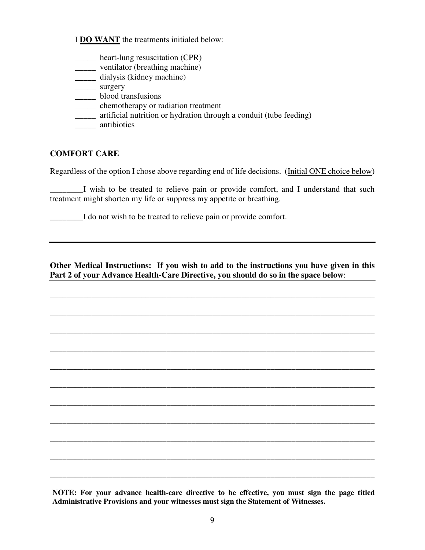I **DO WANT** the treatments initialed below:

- \_\_\_\_\_ heart-lung resuscitation (CPR)
- \_\_\_\_\_ ventilator (breathing machine)
- \_\_\_\_\_ dialysis (kidney machine)
- \_\_\_\_\_\_ surgery
- \_\_\_\_\_ blood transfusions
- \_\_\_\_\_ chemotherapy or radiation treatment
- \_\_\_\_\_ artificial nutrition or hydration through a conduit (tube feeding)
- \_\_\_\_\_ antibiotics

### **COMFORT CARE**

Regardless of the option I chose above regarding end of life decisions. (Initial ONE choice below)

\_\_\_\_\_\_\_\_I wish to be treated to relieve pain or provide comfort, and I understand that such treatment might shorten my life or suppress my appetite or breathing.

\_\_\_\_\_\_\_\_I do not wish to be treated to relieve pain or provide comfort.

### **Other Medical Instructions: If you wish to add to the instructions you have given in this Part 2 of your Advance Health-Care Directive, you should do so in the space below**:

\_\_\_\_\_\_\_\_\_\_\_\_\_\_\_\_\_\_\_\_\_\_\_\_\_\_\_\_\_\_\_\_\_\_\_\_\_\_\_\_\_\_\_\_\_\_\_\_\_\_\_\_\_\_\_\_\_\_\_\_\_\_\_\_\_\_\_\_\_\_\_\_\_\_\_\_\_\_

\_\_\_\_\_\_\_\_\_\_\_\_\_\_\_\_\_\_\_\_\_\_\_\_\_\_\_\_\_\_\_\_\_\_\_\_\_\_\_\_\_\_\_\_\_\_\_\_\_\_\_\_\_\_\_\_\_\_\_\_\_\_\_\_\_\_\_\_\_\_\_\_\_\_\_\_\_\_

\_\_\_\_\_\_\_\_\_\_\_\_\_\_\_\_\_\_\_\_\_\_\_\_\_\_\_\_\_\_\_\_\_\_\_\_\_\_\_\_\_\_\_\_\_\_\_\_\_\_\_\_\_\_\_\_\_\_\_\_\_\_\_\_\_\_\_\_\_\_\_\_\_\_\_\_\_\_

\_\_\_\_\_\_\_\_\_\_\_\_\_\_\_\_\_\_\_\_\_\_\_\_\_\_\_\_\_\_\_\_\_\_\_\_\_\_\_\_\_\_\_\_\_\_\_\_\_\_\_\_\_\_\_\_\_\_\_\_\_\_\_\_\_\_\_\_\_\_\_\_\_\_\_\_\_\_

\_\_\_\_\_\_\_\_\_\_\_\_\_\_\_\_\_\_\_\_\_\_\_\_\_\_\_\_\_\_\_\_\_\_\_\_\_\_\_\_\_\_\_\_\_\_\_\_\_\_\_\_\_\_\_\_\_\_\_\_\_\_\_\_\_\_\_\_\_\_\_\_\_\_\_\_\_\_

\_\_\_\_\_\_\_\_\_\_\_\_\_\_\_\_\_\_\_\_\_\_\_\_\_\_\_\_\_\_\_\_\_\_\_\_\_\_\_\_\_\_\_\_\_\_\_\_\_\_\_\_\_\_\_\_\_\_\_\_\_\_\_\_\_\_\_\_\_\_\_\_\_\_\_\_\_\_

\_\_\_\_\_\_\_\_\_\_\_\_\_\_\_\_\_\_\_\_\_\_\_\_\_\_\_\_\_\_\_\_\_\_\_\_\_\_\_\_\_\_\_\_\_\_\_\_\_\_\_\_\_\_\_\_\_\_\_\_\_\_\_\_\_\_\_\_\_\_\_\_\_\_\_\_\_\_

\_\_\_\_\_\_\_\_\_\_\_\_\_\_\_\_\_\_\_\_\_\_\_\_\_\_\_\_\_\_\_\_\_\_\_\_\_\_\_\_\_\_\_\_\_\_\_\_\_\_\_\_\_\_\_\_\_\_\_\_\_\_\_\_\_\_\_\_\_\_\_\_\_\_\_\_\_\_

\_\_\_\_\_\_\_\_\_\_\_\_\_\_\_\_\_\_\_\_\_\_\_\_\_\_\_\_\_\_\_\_\_\_\_\_\_\_\_\_\_\_\_\_\_\_\_\_\_\_\_\_\_\_\_\_\_\_\_\_\_\_\_\_\_\_\_\_\_\_\_\_\_\_\_\_\_\_

\_\_\_\_\_\_\_\_\_\_\_\_\_\_\_\_\_\_\_\_\_\_\_\_\_\_\_\_\_\_\_\_\_\_\_\_\_\_\_\_\_\_\_\_\_\_\_\_\_\_\_\_\_\_\_\_\_\_\_\_\_\_\_\_\_\_\_\_\_\_\_\_\_\_\_\_\_\_

\_\_\_\_\_\_\_\_\_\_\_\_\_\_\_\_\_\_\_\_\_\_\_\_\_\_\_\_\_\_\_\_\_\_\_\_\_\_\_\_\_\_\_\_\_\_\_\_\_\_\_\_\_\_\_\_\_\_\_\_\_\_\_\_\_\_\_\_\_\_\_\_\_\_\_\_\_\_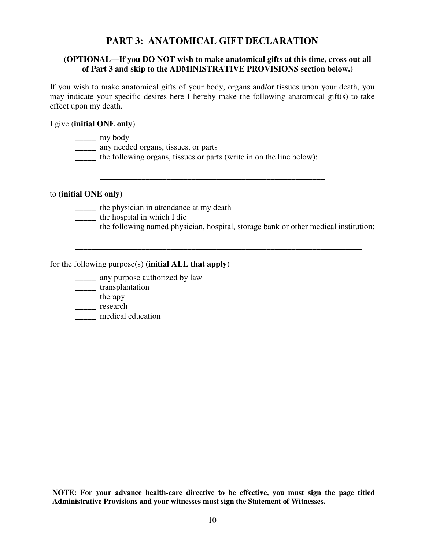## **PART 3: ANATOMICAL GIFT DECLARATION**

### **(OPTIONAL—If you DO NOT wish to make anatomical gifts at this time, cross out all of Part 3 and skip to the ADMINISTRATIVE PROVISIONS section below.)**

If you wish to make anatomical gifts of your body, organs and/or tissues upon your death, you may indicate your specific desires here I hereby make the following anatomical gift(s) to take effect upon my death.

\_\_\_\_\_\_\_\_\_\_\_\_\_\_\_\_\_\_\_\_\_\_\_\_\_\_\_\_\_\_\_\_\_\_\_\_\_\_\_\_\_\_\_\_\_\_\_\_\_\_\_\_\_\_

\_\_\_\_\_\_\_\_\_\_\_\_\_\_\_\_\_\_\_\_\_\_\_\_\_\_\_\_\_\_\_\_\_\_\_\_\_\_\_\_\_\_\_\_\_\_\_\_\_\_\_\_\_\_\_\_\_\_\_\_\_\_\_\_\_\_\_\_\_

#### I give (**initial ONE only**)

|  |  |  | IV DOC<br>v |
|--|--|--|-------------|
|--|--|--|-------------|

- \_\_\_\_\_ any needed organs, tissues, or parts
- \_\_\_\_\_ the following organs, tissues or parts (write in on the line below):

#### to (**initial ONE only**)

- \_\_\_\_\_ the physician in attendance at my death
- \_\_\_\_\_ the hospital in which I die
- \_\_\_\_\_ the following named physician, hospital, storage bank or other medical institution:

#### for the following purpose(s) (**initial ALL that apply**)

- \_\_\_\_\_ any purpose authorized by law
- \_\_\_\_\_ transplantation
- \_\_\_\_\_ therapy
- \_\_\_\_\_ research
- \_\_\_\_\_ medical education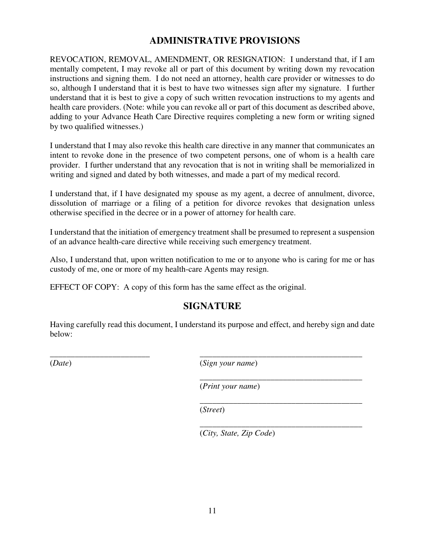## **ADMINISTRATIVE PROVISIONS**

REVOCATION, REMOVAL, AMENDMENT, OR RESIGNATION: I understand that, if I am mentally competent, I may revoke all or part of this document by writing down my revocation instructions and signing them. I do not need an attorney, health care provider or witnesses to do so, although I understand that it is best to have two witnesses sign after my signature. I further understand that it is best to give a copy of such written revocation instructions to my agents and health care providers. (Note: while you can revoke all or part of this document as described above, adding to your Advance Heath Care Directive requires completing a new form or writing signed by two qualified witnesses.)

I understand that I may also revoke this health care directive in any manner that communicates an intent to revoke done in the presence of two competent persons, one of whom is a health care provider. I further understand that any revocation that is not in writing shall be memorialized in writing and signed and dated by both witnesses, and made a part of my medical record.

I understand that, if I have designated my spouse as my agent, a decree of annulment, divorce, dissolution of marriage or a filing of a petition for divorce revokes that designation unless otherwise specified in the decree or in a power of attorney for health care.

I understand that the initiation of emergency treatment shall be presumed to represent a suspension of an advance health-care directive while receiving such emergency treatment.

Also, I understand that, upon written notification to me or to anyone who is caring for me or has custody of me, one or more of my health-care Agents may resign.

EFFECT OF COPY: A copy of this form has the same effect as the original.

## **SIGNATURE**

Having carefully read this document, I understand its purpose and effect, and hereby sign and date below:

\_\_\_\_\_\_\_\_\_\_\_\_\_\_\_\_\_\_\_\_\_\_\_\_ \_\_\_\_\_\_\_\_\_\_\_\_\_\_\_\_\_\_\_\_\_\_\_\_\_\_\_\_\_\_\_\_\_\_\_\_\_\_\_

(*Date*) (*Sign your name*)

 $\overline{\phantom{a}}$  , which is a set of the contract of the contract of the contract of the contract of the contract of the contract of the contract of the contract of the contract of the contract of the contract of the contract (*Print your name*)

(*Street*)

 $\overline{\phantom{a}}$  , which is a set of the contract of the contract of the contract of the contract of the contract of the contract of the contract of the contract of the contract of the contract of the contract of the contract

 $\overline{\phantom{a}}$  , which is a set of the contract of the contract of the contract of the contract of the contract of the contract of the contract of the contract of the contract of the contract of the contract of the contract (*City, State, Zip Code*)